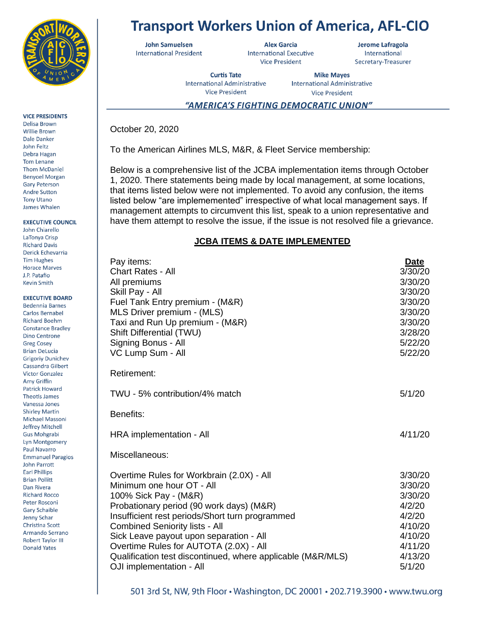

## **VICE PRESIDENTS**

Delisa Brown Willie Brown Dale Danker John Feltz Debra Hagan Tom Lenane **Thom McDaniel Benyoel Morgan Gary Peterson Andre Sutton Tony Utano** James Whalen

### **EXECUTIVE COUNCIL**

John Chiarello LaTonya Crisp **Richard Davis** Derick Echevarria **Tim Hughes Horace Marves I** P Patafio **Kevin Smith** 

### **EXECUTIVE BOARD**

**Bedennia Barnes** Carlos Bernabel **Richard Boehm Constance Bradley Dino Centrone Greg Cosey Brian DeLucia Grigoriy Dunichev** Cassandra Gilbert **Victor Gonzalez** Amy Griffin **Patrick Howard Theotis James** Vanessa Jones **Shirley Martin** Michael Massoni Jeffrey Mitchell **Gus Mohgrabi** Lyn Montgomery **Paul Navarro Emmanuel Paragios John Parrott Earl Phillips Brian Pollitt** Dan Rivera **Richard Rocco** Peter Rosconi **Gary Schaible** Jenny Schar Christina Scott Armando Serrano **Robert Taylor III Donald Yates** 

# **Transport Workers Union of America, AFL-CIO**

**John Samuelsen International President** 

**Alex Garcia International Executive Vice President** 

Jerome Lafragola International Secretary-Treasurer

**Curtis Tate International Administrative Vice President** 

**Mike Mayes International Administrative Vice President** 

## "AMERICA'S FIGHTING DEMOCRATIC UNION"

October 20, 2020

To the American Airlines MLS, M&R, & Fleet Service membership:

Below is a comprehensive list of the JCBA implementation items through October 1, 2020. There statements being made by local management, at some locations, that items listed below were not implemented. To avoid any confusion, the items listed below "are implememented" irrespective of what local management says. If management attempts to circumvent this list, speak to a union representative and have them attempt to resolve the issue, if the issue is not resolved file a grievance.

## **JCBA ITEMS & DATE IMPLEMENTED**

| Pay items:<br><b>Chart Rates - All</b><br>All premiums<br>Skill Pay - All<br>Fuel Tank Entry premium - (M&R)<br>MLS Driver premium - (MLS)<br>Taxi and Run Up premium - (M&R)<br>Shift Differential (TWU)<br>Signing Bonus - All<br>VC Lump Sum - All                                                                                                                                                                   | <u>Date</u><br>3/30/20<br>3/30/20<br>3/30/20<br>3/30/20<br>3/30/20<br>3/30/20<br>3/28/20<br>5/22/20<br>5/22/20 |
|-------------------------------------------------------------------------------------------------------------------------------------------------------------------------------------------------------------------------------------------------------------------------------------------------------------------------------------------------------------------------------------------------------------------------|----------------------------------------------------------------------------------------------------------------|
| <b>Retirement:</b>                                                                                                                                                                                                                                                                                                                                                                                                      |                                                                                                                |
| TWU - 5% contribution/4% match                                                                                                                                                                                                                                                                                                                                                                                          | 5/1/20                                                                                                         |
| Benefits:                                                                                                                                                                                                                                                                                                                                                                                                               |                                                                                                                |
| HRA implementation - All                                                                                                                                                                                                                                                                                                                                                                                                | 4/11/20                                                                                                        |
| Miscellaneous:                                                                                                                                                                                                                                                                                                                                                                                                          |                                                                                                                |
| Overtime Rules for Workbrain (2.0X) - All<br>Minimum one hour OT - All<br>100% Sick Pay - (M&R)<br>Probationary period (90 work days) (M&R)<br>Insufficient rest periods/Short turn programmed<br><b>Combined Seniority lists - All</b><br>Sick Leave payout upon separation - All<br>Overtime Rules for AUTOTA (2.0X) - All<br>Qualification test discontinued, where applicable (M&R/MLS)<br>OJI implementation - All | 3/30/20<br>3/30/20<br>3/30/20<br>4/2/20<br>4/2/20<br>4/10/20<br>4/10/20<br>4/11/20<br>4/13/20<br>5/1/20        |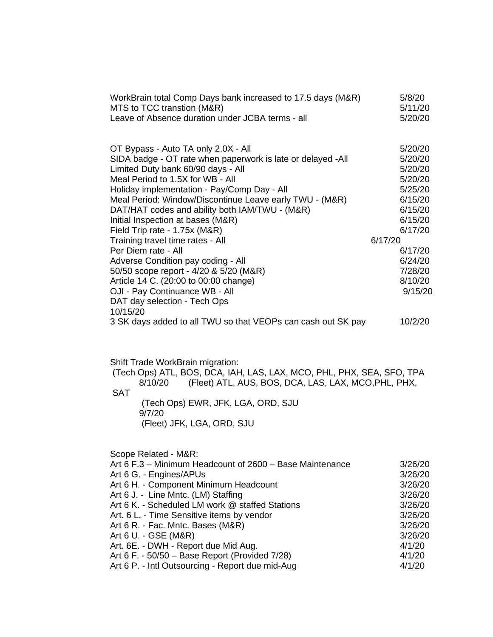| WorkBrain total Comp Days bank increased to 17.5 days (M&R)<br>MTS to TCC transtion (M&R) | 5/8/20<br>5/11/20 |
|-------------------------------------------------------------------------------------------|-------------------|
| Leave of Absence duration under JCBA terms - all                                          | 5/20/20           |
| OT Bypass - Auto TA only 2.0X - All                                                       | 5/20/20           |
| SIDA badge - OT rate when paperwork is late or delayed -All                               | 5/20/20           |
| Limited Duty bank 60/90 days - All                                                        | 5/20/20           |
| Meal Period to 1.5X for WB - All                                                          | 5/20/20           |
| Holiday implementation - Pay/Comp Day - All                                               | 5/25/20           |
| Meal Period: Window/Discontinue Leave early TWU - (M&R)                                   | 6/15/20           |
| DAT/HAT codes and ability both IAM/TWU - (M&R)                                            | 6/15/20           |
| Initial Inspection at bases (M&R)                                                         | 6/15/20           |
| Field Trip rate - 1.75x (M&R)                                                             | 6/17/20           |
| Training travel time rates - All                                                          | 6/17/20           |
| Per Diem rate - All                                                                       | 6/17/20           |
| Adverse Condition pay coding - All                                                        | 6/24/20           |
| 50/50 scope report - 4/20 & 5/20 (M&R)                                                    | 7/28/20           |
| Article 14 C. (20:00 to 00:00 change)                                                     | 8/10/20           |
| OJI - Pay Continuance WB - All                                                            | 9/15/20           |
| DAT day selection - Tech Ops<br>10/15/20                                                  |                   |
| 3 SK days added to all TWU so that VEOPs can cash out SK pay                              | 10/2/20           |

Shift Trade WorkBrain migration:

(Tech Ops) ATL, BOS, DCA, IAH, LAS, LAX, MCO, PHL, PHX, SEA, SFO, TPA 8/10/20 (Fleet) ATL, AUS, BOS, DCA, LAS, LAX, MCO,PHL, PHX, SAT

(Tech Ops) EWR, JFK, LGA, ORD, SJU 9/7/20 (Fleet) JFK, LGA, ORD, SJU

Scope Related - M&R:

| Art 6 F.3 - Minimum Headcount of 2600 - Base Maintenance | 3/26/20 |
|----------------------------------------------------------|---------|
| Art 6 G. - Engines/APUs                                  | 3/26/20 |
| Art 6 H. - Component Minimum Headcount                   | 3/26/20 |
| Art 6 J. - Line Mntc. (LM) Staffing                      | 3/26/20 |
| Art 6 K. - Scheduled LM work @ staffed Stations          | 3/26/20 |
| Art. 6 L. - Time Sensitive items by vendor               | 3/26/20 |
| Art 6 R. - Fac. Mntc. Bases (M&R)                        | 3/26/20 |
| Art 6 U. - GSE (M&R)                                     | 3/26/20 |
| Art. 6E. - DWH - Report due Mid Aug.                     | 4/1/20  |
| Art 6 F. - 50/50 - Base Report (Provided 7/28)           | 4/1/20  |
| Art 6 P. - Intl Outsourcing - Report due mid-Aug         | 4/1/20  |
|                                                          |         |